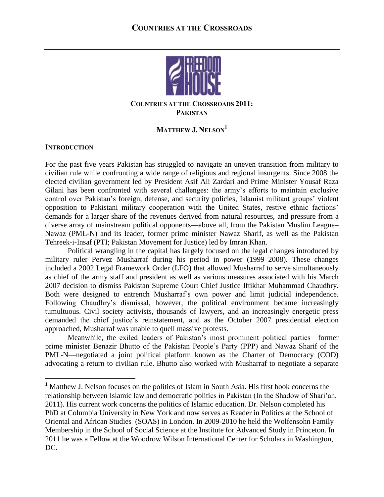

## **COUNTRIES AT THE CROSSROADS 2011: PAKISTAN**

# **MATTHEW J. NELSON<sup>1</sup>**

## **INTRODUCTION**

 $\overline{\phantom{a}}$ 

For the past five years Pakistan has struggled to navigate an uneven transition from military to civilian rule while confronting a wide range of religious and regional insurgents. Since 2008 the elected civilian government led by President Asif Ali Zardari and Prime Minister Yousaf Raza Gilani has been confronted with several challenges: the army's efforts to maintain exclusive control over Pakistan's foreign, defense, and security policies, Islamist militant groups' violent opposition to Pakistani military cooperation with the United States, restive ethnic factions' demands for a larger share of the revenues derived from natural resources, and pressure from a diverse array of mainstream political opponents—above all, from the Pakistan Muslim League– Nawaz (PML-N) and its leader, former prime minister Nawaz Sharif, as well as the Pakistan Tehreek-i-Insaf (PTI; Pakistan Movement for Justice) led by Imran Khan.

Political wrangling in the capital has largely focused on the legal changes introduced by military ruler Pervez Musharraf during his period in power (1999–2008). These changes included a 2002 Legal Framework Order (LFO) that allowed Musharraf to serve simultaneously as chief of the army staff and president as well as various measures associated with his March 2007 decision to dismiss Pakistan Supreme Court Chief Justice Iftikhar Muhammad Chaudhry. Both were designed to entrench Musharraf's own power and limit judicial independence. Following Chaudhry's dismissal, however, the political environment became increasingly tumultuous. Civil society activists, thousands of lawyers, and an increasingly energetic press demanded the chief justice's reinstatement, and as the October 2007 presidential election approached, Musharraf was unable to quell massive protests.

Meanwhile, the exiled leaders of Pakistan's most prominent political parties—former prime minister Benazir Bhutto of the Pakistan People's Party (PPP) and Nawaz Sharif of the PML-N—negotiated a joint political platform known as the Charter of Democracy (COD) advocating a return to civilian rule. Bhutto also worked with Musharraf to negotiate a separate

<sup>&</sup>lt;sup>1</sup> Matthew J. Nelson focuses on the politics of Islam in South Asia. His first book concerns the relationship between Islamic law and democratic politics in Pakistan (In the Shadow of Shari'ah, 2011). His current work concerns the politics of Islamic education. Dr. Nelson completed his PhD at Columbia University in New York and now serves as Reader in Politics at the School of Oriental and African Studies (SOAS) in London. In 2009-2010 he held the Wolfensohn Family Membership in the School of Social Science at the Institute for Advanced Study in Princeton. In 2011 he was a Fellow at the Woodrow Wilson International Center for Scholars in Washington, DC.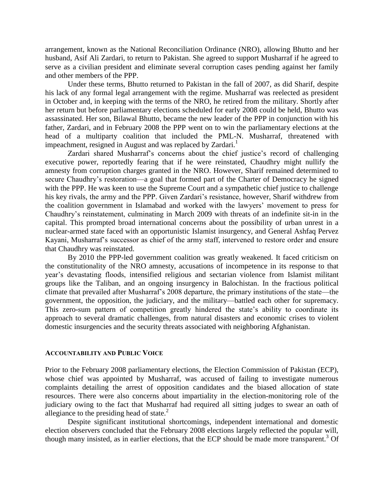arrangement, known as the National Reconciliation Ordinance (NRO), allowing Bhutto and her husband, Asif Ali Zardari, to return to Pakistan. She agreed to support Musharraf if he agreed to serve as a civilian president and eliminate several corruption cases pending against her family and other members of the PPP.

Under these terms, Bhutto returned to Pakistan in the fall of 2007, as did Sharif, despite his lack of any formal legal arrangement with the regime. Musharraf was reelected as president in October and, in keeping with the terms of the NRO, he retired from the military. Shortly after her return but before parliamentary elections scheduled for early 2008 could be held, Bhutto was assassinated. Her son, Bilawal Bhutto, became the new leader of the PPP in conjunction with his father, Zardari, and in February 2008 the PPP went on to win the parliamentary elections at the head of a multiparty coalition that included the PML-N. Musharraf, threatened with impeachment, resigned in August and was replaced by Zardari.<sup>1</sup>

Zardari shared Musharraf's concerns about the chief justice's record of challenging executive power, reportedly fearing that if he were reinstated, Chaudhry might nullify the amnesty from corruption charges granted in the NRO. However, Sharif remained determined to secure Chaudhry's restoration—a goal that formed part of the Charter of Democracy he signed with the PPP. He was keen to use the Supreme Court and a sympathetic chief justice to challenge his key rivals, the army and the PPP. Given Zardari's resistance, however, Sharif withdrew from the coalition government in Islamabad and worked with the lawyers' movement to press for Chaudhry's reinstatement, culminating in March 2009 with threats of an indefinite sit-in in the capital. This prompted broad international concerns about the possibility of urban unrest in a nuclear-armed state faced with an opportunistic Islamist insurgency, and General Ashfaq Pervez Kayani, Musharraf's successor as chief of the army staff, intervened to restore order and ensure that Chaudhry was reinstated.

By 2010 the PPP-led government coalition was greatly weakened. It faced criticism on the constitutionality of the NRO amnesty, accusations of incompetence in its response to that year's devastating floods, intensified religious and sectarian violence from Islamist militant groups like the Taliban, and an ongoing insurgency in Balochistan. In the fractious political climate that prevailed after Musharraf's 2008 departure, the primary institutions of the state—the government, the opposition, the judiciary, and the military—battled each other for supremacy. This zero-sum pattern of competition greatly hindered the state's ability to coordinate its approach to several dramatic challenges, from natural disasters and economic crises to violent domestic insurgencies and the security threats associated with neighboring Afghanistan.

#### **ACCOUNTABILITY AND PUBLIC VOICE**

Prior to the February 2008 parliamentary elections, the Election Commission of Pakistan (ECP), whose chief was appointed by Musharraf, was accused of failing to investigate numerous complaints detailing the arrest of opposition candidates and the biased allocation of state resources. There were also concerns about impartiality in the election-monitoring role of the judiciary owing to the fact that Musharraf had required all sitting judges to swear an oath of allegiance to the presiding head of state. $<sup>2</sup>$ </sup>

Despite significant institutional shortcomings, independent international and domestic election observers concluded that the February 2008 elections largely reflected the popular will, though many insisted, as in earlier elections, that the ECP should be made more transparent.<sup>3</sup> Of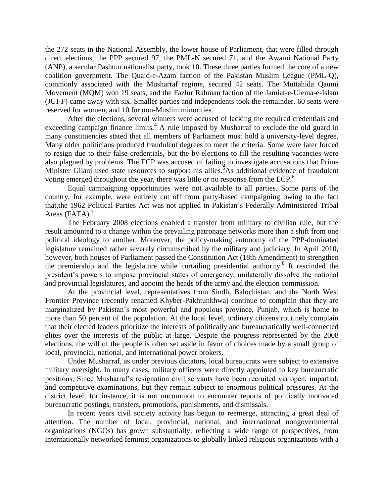the 272 seats in the National Assembly, the lower house of Parliament, that were filled through direct elections, the PPP secured 97, the PML-N secured 71, and the Awami National Party (ANP), a secular Pashtun nationalist party, took 10. These three parties formed the core of a new coalition government. The Quaid-e-Azam faction of the Pakistan Muslim League (PML-Q), commonly associated with the Musharraf regime, secured 42 seats. The Muttahida Qaumi Movement (MQM) won 19 seats, and the Fazlur Rahman faction of the Jamiat-e-Ulema-e-Islam (JUI-F) came away with six. Smaller parties and independents took the remainder. 60 seats were reserved for women, and 10 for non-Muslim minorities.

After the elections, several winners were accused of lacking the required credentials and exceeding campaign finance limits.<sup>4</sup> A rule imposed by Musharraf to exclude the old guard in many constituencies stated that all members of Parliament must hold a university-level degree. Many older politicians produced fraudulent degrees to meet the criteria. Some were later forced to resign due to their false credentials, but the by-elections to fill the resulting vacancies were also plagued by problems. The ECP was accused of failing to investigate accusations that Prime Minister Gilani used state resources to support his allies.<sup>5</sup>As additional evidence of fraudulent voting emerged throughout the year, there was little or no response from the ECP.<sup>6</sup>

Equal campaigning opportunities were not available to all parties. Some parts of the country, for example, were entirely cut off from party-based campaigning owing to the fact that,the 1962 Political Parties Act was not applied in Pakistan's Federally Administered Tribal Areas (FATA).<sup>7</sup>

The February 2008 elections enabled a transfer from military to civilian rule, but the result amounted to a change within the prevailing patronage networks more than a shift from one political ideology to another. Moreover, the policy-making autonomy of the PPP-dominated legislature remained rather severely circumscribed by the military and judiciary. In April 2010, however, both houses of Parliament passed the Constitution Act (18th Amendment) to strengthen the premiership and the legislature while curtailing presidential authority.<sup>8</sup> It rescinded the president's powers to impose provincial states of emergency, unilaterally dissolve the national and provincial legislatures, and appoint the heads of the army and the election commission.

At the provincial level, representatives from Sindh, Balochistan, and the North West Frontier Province (recently renamed Khyber-Pakhtunkhwa) continue to complain that they are marginalized by Pakistan's most powerful and populous province, Punjab, which is home to more than 50 percent of the population. At the local level, ordinary citizens routinely complain that their elected leaders prioritize the interests of politically and bureaucratically well-connected elites over the interests of the public at large. Despite the progress represented by the 2008 elections, the will of the people is often set aside in favor of choices made by a small group of local, provincial, national, and international power brokers.

Under Musharraf, as under previous dictators, local bureaucrats were subject to extensive military oversight. In many cases, military officers were directly appointed to key bureaucratic positions. Since Musharraf's resignation civil servants have been recruited via open, impartial, and competitive examinations, but they remain subject to enormous political pressures. At the district level, for instance, it is not uncommon to encounter reports of politically motivated bureaucratic postings, transfers, promotions, punishments, and dismissals.

In recent years civil society activity has begun to reemerge, attracting a great deal of attention. The number of local, provincial, national, and international nongovernmental organizations (NGOs) has grown substantially, reflecting a wide range of perspectives, from internationally networked feminist organizations to globally linked religious organizations with a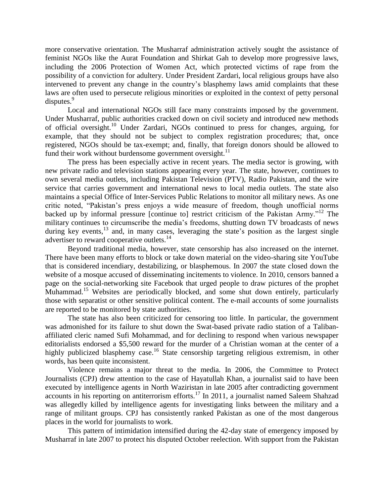more conservative orientation. The Musharraf administration actively sought the assistance of feminist NGOs like the Aurat Foundation and Shirkat Gah to develop more progressive laws, including the 2006 Protection of Women Act, which protected victims of rape from the possibility of a conviction for adultery. Under President Zardari, local religious groups have also intervened to prevent any change in the country's blasphemy laws amid complaints that these laws are often used to persecute religious minorities or exploited in the context of petty personal disputes.<sup>9</sup>

Local and international NGOs still face many constraints imposed by the government. Under Musharraf, public authorities cracked down on civil society and introduced new methods of official oversight.<sup>10</sup> Under Zardari, NGOs continued to press for changes, arguing, for example, that they should not be subject to complex registration procedures; that, once registered, NGOs should be tax-exempt; and, finally, that foreign donors should be allowed to fund their work without burdensome government oversight. $^{11}$ 

The press has been especially active in recent years. The media sector is growing, with new private radio and television stations appearing every year. The state, however, continues to own several media outlets, including Pakistan Television (PTV), Radio Pakistan, and the wire service that carries government and international news to local media outlets. The state also maintains a special Office of Inter-Services Public Relations to monitor all military news. As one critic noted, "Pakistan's press enjoys a wide measure of freedom, though unofficial norms backed up by informal pressure [continue to] restrict criticism of the Pakistan Army."<sup>12</sup> The military continues to circumscribe the media's freedoms, shutting down TV broadcasts of news during key events,<sup>13</sup> and, in many cases, leveraging the state's position as the largest single advertiser to reward cooperative outlets.<sup>14</sup>

Beyond traditional media, however, state censorship has also increased on the internet. There have been many efforts to block or take down material on the video-sharing site YouTube that is considered incendiary, destabilizing, or blasphemous. In 2007 the state closed down the website of a mosque accused of disseminating incitements to violence. In 2010, censors banned a page on the social-networking site Facebook that urged people to draw pictures of the prophet Muhammad.<sup>15</sup> Websites are periodically blocked, and some shut down entirely, particularly those with separatist or other sensitive political content. The e-mail accounts of some journalists are reported to be monitored by state authorities.

The state has also been criticized for censoring too little. In particular, the government was admonished for its failure to shut down the Swat-based private radio station of a Talibanaffiliated cleric named Sufi Mohammad, and for declining to respond when various newspaper editorialists endorsed a \$5,500 reward for the murder of a Christian woman at the center of a highly publicized blasphemy case.<sup>16</sup> State censorship targeting religious extremism, in other words, has been quite inconsistent.

Violence remains a major threat to the media. In 2006, the Committee to Protect Journalists (CPJ) drew attention to the case of Hayatullah Khan, a journalist said to have been executed by intelligence agents in North Waziristan in late 2005 after contradicting government accounts in his reporting on antiterrorism efforts.<sup>17</sup> In 2011, a journalist named Saleem Shahzad was allegedly killed by intelligence agents for investigating links between the military and a range of militant groups. CPJ has consistently ranked Pakistan as one of the most dangerous places in the world for journalists to work.

This pattern of intimidation intensified during the 42-day state of emergency imposed by Musharraf in late 2007 to protect his disputed October reelection. With support from the Pakistan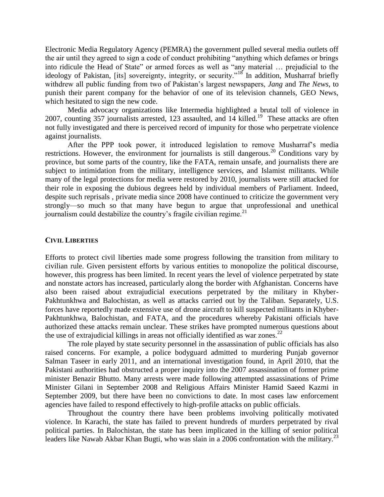Electronic Media Regulatory Agency (PEMRA) the government pulled several media outlets off the air until they agreed to sign a code of conduct prohibiting "anything which defames or brings into ridicule the Head of State" or armed forces as well as "any material … prejudicial to the ideology of Pakistan, [its] sovereignty, integrity, or security."<sup>18</sup> In addition, Musharraf briefly withdrew all public funding from two of Pakistan's largest newspapers, *Jang* and *The News*, to punish their parent company for the behavior of one of its television channels, GEO News, which hesitated to sign the new code.

Media advocacy organizations like Intermedia highlighted a brutal toll of violence in 2007, counting 357 journalists arrested, 123 assaulted, and 14 killed.<sup>19</sup> These attacks are often not fully investigated and there is perceived record of impunity for those who perpetrate violence against journalists.

After the PPP took power, it introduced legislation to remove Musharraf's media restrictions. However, the environment for journalists is still dangerous.<sup>20</sup> Conditions vary by province, but some parts of the country, like the FATA, remain unsafe, and journalists there are subject to intimidation from the military, intelligence services, and Islamist militants. While many of the legal protections for media were restored by 2010, journalists were still attacked for their role in exposing the dubious degrees held by individual members of Parliament. Indeed, despite such reprisals , private media since 2008 have continued to criticize the government very strongly—so much so that many have begun to argue that unprofessional and unethical journalism could destabilize the country's fragile civilian regime. $^{21}$ 

### **CIVIL LIBERTIES**

Efforts to protect civil liberties made some progress following the transition from military to civilian rule. Given persistent efforts by various entities to monopolize the political discourse, however, this progress has been limited. In recent years the level of violence perpetrated by state and nonstate actors has increased, particularly along the border with Afghanistan. Concerns have also been raised about extrajudicial executions perpetrated by the military in Khyber-Pakhtunkhwa and Balochistan, as well as attacks carried out by the Taliban. Separately, U.S. forces have reportedly made extensive use of drone aircraft to kill suspected militants in Khyber-Pakhtunkhwa, Balochistan, and FATA, and the procedures whereby Pakistani officials have authorized these attacks remain unclear. These strikes have prompted numerous questions about the use of extrajudicial killings in areas not officially identified as war zones.<sup>22</sup>

The role played by state security personnel in the assassination of public officials has also raised concerns. For example, a police bodyguard admitted to murdering Punjab governor Salman Taseer in early 2011, and an international investigation found, in April 2010, that the Pakistani authorities had obstructed a proper inquiry into the 2007 assassination of former prime minister Benazir Bhutto. Many arrests were made following attempted assassinations of Prime Minister Gilani in September 2008 and Religious Affairs Minister Hamid Saeed Kazmi in September 2009, but there have been no convictions to date. In most cases law enforcement agencies have failed to respond effectively to high-profile attacks on public officials.

Throughout the country there have been problems involving politically motivated violence. In Karachi, the state has failed to prevent hundreds of murders perpetrated by rival political parties. In Balochistan, the state has been implicated in the killing of senior political leaders like Nawab Akbar Khan Bugti, who was slain in a 2006 confrontation with the military.<sup>23</sup>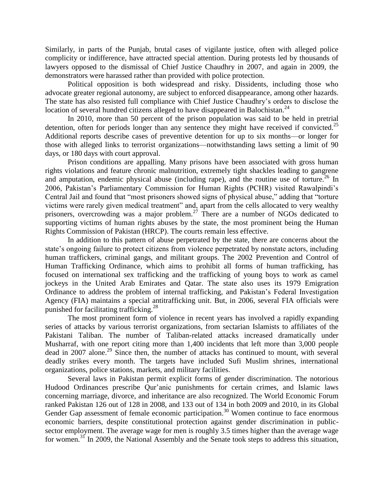Similarly, in parts of the Punjab, brutal cases of vigilante justice, often with alleged police complicity or indifference, have attracted special attention. During protests led by thousands of lawyers opposed to the dismissal of Chief Justice Chaudhry in 2007, and again in 2009, the demonstrators were harassed rather than provided with police protection.

Political opposition is both widespread and risky. Dissidents, including those who advocate greater regional autonomy, are subject to enforced disappearance, among other hazards. The state has also resisted full compliance with Chief Justice Chaudhry's orders to disclose the location of several hundred citizens alleged to have disappeared in Balochistan.<sup>24</sup>

In 2010, more than 50 percent of the prison population was said to be held in pretrial detention, often for periods longer than any sentence they might have received if convicted.<sup>25</sup> Additional reports describe cases of preventive detention for up to six months—or longer for those with alleged links to terrorist organizations—notwithstanding laws setting a limit of 90 days, or 180 days with court approval.

Prison conditions are appalling. Many prisons have been associated with gross human rights violations and feature chronic malnutrition, extremely tight shackles leading to gangrene and amputation, endemic physical abuse (including rape), and the routine use of torture.<sup>26</sup> In 2006, Pakistan's Parliamentary Commission for Human Rights (PCHR) visited Rawalpindi's Central Jail and found that "most prisoners showed signs of physical abuse," adding that "torture victims were rarely given medical treatment" and, apart from the cells allocated to very wealthy prisoners, overcrowding was a major problem.<sup>27</sup> There are a number of NGOs dedicated to supporting victims of human rights abuses by the state, the most prominent being the Human Rights Commission of Pakistan (HRCP). The courts remain less effective.

In addition to this pattern of abuse perpetrated by the state, there are concerns about the state's ongoing failure to protect citizens from violence perpetrated by nonstate actors, including human traffickers, criminal gangs, and militant groups. The 2002 Prevention and Control of Human Trafficking Ordinance, which aims to prohibit all forms of human trafficking, has focused on international sex trafficking and the trafficking of young boys to work as camel jockeys in the United Arab Emirates and Qatar. The state also uses its 1979 Emigration Ordinance to address the problem of internal trafficking, and Pakistan's Federal Investigation Agency (FIA) maintains a special antitrafficking unit. But, in 2006, several FIA officials were punished for facilitating trafficking.<sup>28</sup>

The most prominent form of violence in recent years has involved a rapidly expanding series of attacks by various terrorist organizations, from sectarian Islamists to affiliates of the Pakistani Taliban. The number of Taliban-related attacks increased dramatically under Musharraf, with one report citing more than 1,400 incidents that left more than 3,000 people dead in 2007 alone.<sup>29</sup> Since then, the number of attacks has continued to mount, with several deadly strikes every month. The targets have included Sufi Muslim shrines, international organizations, police stations, markets, and military facilities.

Several laws in Pakistan permit explicit forms of gender discrimination. The notorious Hudood Ordinances prescribe Qur'anic punishments for certain crimes, and Islamic laws concerning marriage, divorce, and inheritance are also recognized. The World Economic Forum ranked Pakistan 126 out of 128 in 2008, and 133 out of 134 in both 2009 and 2010, in its Global Gender Gap assessment of female economic participation.<sup>30</sup> Women continue to face enormous economic barriers, despite constitutional protection against gender discrimination in publicsector employment. The average wage for men is roughly 3.5 times higher than the average wage for women.<sup>31</sup> In 2009, the National Assembly and the Senate took steps to address this situation,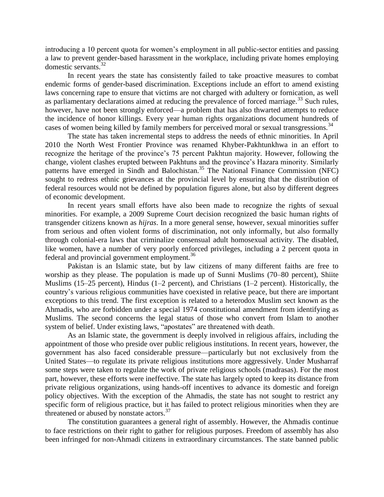introducing a 10 percent quota for women's employment in all public-sector entities and passing a law to prevent gender-based harassment in the workplace, including private homes employing domestic servants.<sup>32</sup>

In recent years the state has consistently failed to take proactive measures to combat endemic forms of gender-based discrimination. Exceptions include an effort to amend existing laws concerning rape to ensure that victims are not charged with adultery or fornication, as well as parliamentary declarations aimed at reducing the prevalence of forced marriage.<sup>33</sup> Such rules, however, have not been strongly enforced—a problem that has also thwarted attempts to reduce the incidence of honor killings. Every year human rights organizations document hundreds of cases of women being killed by family members for perceived moral or sexual transgressions.<sup>34</sup>

The state has taken incremental steps to address the needs of ethnic minorities. In April 2010 the North West Frontier Province was renamed Khyber-Pakhtunkhwa in an effort to recognize the heritage of the province's 75 percent Pakhtun majority. However, following the change, violent clashes erupted between Pakhtuns and the province's Hazara minority. Similarly patterns have emerged in Sindh and Balochistan.<sup>35</sup> The National Finance Commission (NFC) sought to redress ethnic grievances at the provincial level by ensuring that the distribution of federal resources would not be defined by population figures alone, but also by different degrees of economic development.

In recent years small efforts have also been made to recognize the rights of sexual minorities. For example, a 2009 Supreme Court decision recognized the basic human rights of transgender citizens known as *hijras*. In a more general sense, however, sexual minorities suffer from serious and often violent forms of discrimination, not only informally, but also formally through colonial-era laws that criminalize consensual adult homosexual activity. The disabled, like women, have a number of very poorly enforced privileges, including a 2 percent quota in federal and provincial government employment.<sup>36</sup>

Pakistan is an Islamic state, but by law citizens of many different faiths are free to worship as they please. The population is made up of Sunni Muslims (70–80 percent), Shiite Muslims (15–25 percent), Hindus (1–2 percent), and Christians (1–2 percent). Historically, the country's various religious communities have coexisted in relative peace, but there are important exceptions to this trend. The first exception is related to a heterodox Muslim sect known as the Ahmadis, who are forbidden under a special 1974 constitutional amendment from identifying as Muslims. The second concerns the legal status of those who convert from Islam to another system of belief. Under existing laws, "apostates" are threatened with death.

As an Islamic state, the government is deeply involved in religious affairs, including the appointment of those who preside over public religious institutions. In recent years, however, the government has also faced considerable pressure—particularly but not exclusively from the United States—to regulate its private religious institutions more aggressively. Under Musharraf some steps were taken to regulate the work of private religious schools (madrasas). For the most part, however, these efforts were ineffective. The state has largely opted to keep its distance from private religious organizations, using hands-off incentives to advance its domestic and foreign policy objectives. With the exception of the Ahmadis, the state has not sought to restrict any specific form of religious practice, but it has failed to protect religious minorities when they are threatened or abused by nonstate actors.<sup>37</sup>

The constitution guarantees a general right of assembly. However, the Ahmadis continue to face restrictions on their right to gather for religious purposes. Freedom of assembly has also been infringed for non-Ahmadi citizens in extraordinary circumstances. The state banned public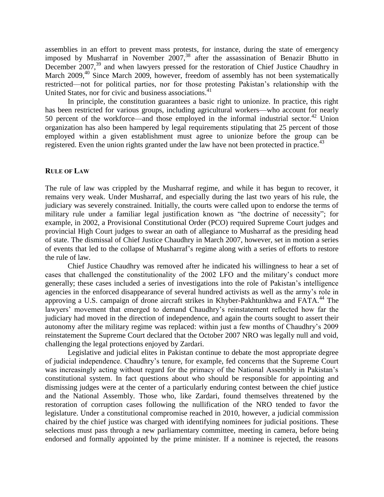assemblies in an effort to prevent mass protests, for instance, during the state of emergency imposed by Musharraf in November 2007, <sup>38</sup> after the assassination of Benazir Bhutto in December 2007,<sup>39</sup> and when lawyers pressed for the restoration of Chief Justice Chaudhry in March 2009,<sup>40</sup> Since March 2009, however, freedom of assembly has not been systematically restricted—not for political parties, nor for those protesting Pakistan's relationship with the United States, nor for civic and business associations.<sup>41</sup>

In principle, the constitution guarantees a basic right to unionize. In practice, this right has been restricted for various groups, including agricultural workers—who account for nearly 50 percent of the workforce—and those employed in the informal industrial sector.<sup>42</sup> Union organization has also been hampered by legal requirements stipulating that 25 percent of those employed within a given establishment must agree to unionize before the group can be registered. Even the union rights granted under the law have not been protected in practice.<sup>43</sup>

### **RULE OF LAW**

The rule of law was crippled by the Musharraf regime, and while it has begun to recover, it remains very weak. Under Musharraf, and especially during the last two years of his rule, the judiciary was severely constrained. Initially, the courts were called upon to endorse the terms of military rule under a familiar legal justification known as "the doctrine of necessity"; for example, in 2002, a Provisional Constitutional Order (PCO) required Supreme Court judges and provincial High Court judges to swear an oath of allegiance to Musharraf as the presiding head of state. The dismissal of Chief Justice Chaudhry in March 2007, however, set in motion a series of events that led to the collapse of Musharraf's regime along with a series of efforts to restore the rule of law.

Chief Justice Chaudhry was removed after he indicated his willingness to hear a set of cases that challenged the constitutionality of the 2002 LFO and the military's conduct more generally; these cases included a series of investigations into the role of Pakistan's intelligence agencies in the enforced disappearance of several hundred activists as well as the army's role in approving a U.S. campaign of drone aircraft strikes in Khyber-Pakhtunkhwa and FATA.<sup>44</sup> The lawyers' movement that emerged to demand Chaudhry's reinstatement reflected how far the judiciary had moved in the direction of independence, and again the courts sought to assert their autonomy after the military regime was replaced: within just a few months of Chaudhry's 2009 reinstatement the Supreme Court declared that the October 2007 NRO was legally null and void, challenging the legal protections enjoyed by Zardari.

Legislative and judicial elites in Pakistan continue to debate the most appropriate degree of judicial independence. Chaudhry's tenure, for example, fed concerns that the Supreme Court was increasingly acting without regard for the primacy of the National Assembly in Pakistan's constitutional system. In fact questions about who should be responsible for appointing and dismissing judges were at the center of a particularly enduring contest between the chief justice and the National Assembly. Those who, like Zardari, found themselves threatened by the restoration of corruption cases following the nullification of the NRO tended to favor the legislature. Under a constitutional compromise reached in 2010, however, a judicial commission chaired by the chief justice was charged with identifying nominees for judicial positions. These selections must pass through a new parliamentary committee, meeting in camera, before being endorsed and formally appointed by the prime minister. If a nominee is rejected, the reasons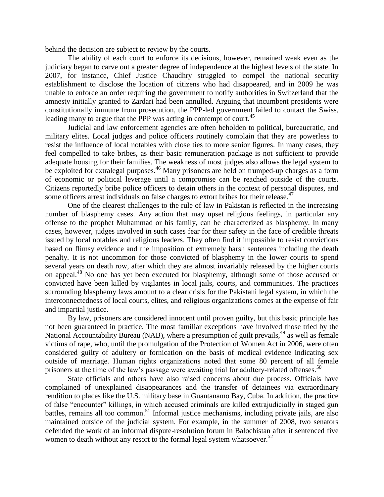behind the decision are subject to review by the courts.

The ability of each court to enforce its decisions, however, remained weak even as the judiciary began to carve out a greater degree of independence at the highest levels of the state. In 2007, for instance, Chief Justice Chaudhry struggled to compel the national security establishment to disclose the location of citizens who had disappeared, and in 2009 he was unable to enforce an order requiring the government to notify authorities in Switzerland that the amnesty initially granted to Zardari had been annulled. Arguing that incumbent presidents were constitutionally immune from prosecution, the PPP-led government failed to contact the Swiss, leading many to argue that the PPP was acting in contempt of court.<sup>45</sup>

Judicial and law enforcement agencies are often beholden to political, bureaucratic, and military elites. Local judges and police officers routinely complain that they are powerless to resist the influence of local notables with close ties to more senior figures. In many cases, they feel compelled to take bribes, as their basic remuneration package is not sufficient to provide adequate housing for their families. The weakness of most judges also allows the legal system to be exploited for extralegal purposes.<sup>46</sup> Many prisoners are held on trumped-up charges as a form of economic or political leverage until a compromise can be reached outside of the courts. Citizens reportedly bribe police officers to detain others in the context of personal disputes, and some officers arrest individuals on false charges to extort bribes for their release.<sup>47</sup>

One of the clearest challenges to the rule of law in Pakistan is reflected in the increasing number of blasphemy cases. Any action that may upset religious feelings, in particular any offense to the prophet Muhammad or his family, can be characterized as blasphemy. In many cases, however, judges involved in such cases fear for their safety in the face of credible threats issued by local notables and religious leaders. They often find it impossible to resist convictions based on flimsy evidence and the imposition of extremely harsh sentences including the death penalty. It is not uncommon for those convicted of blasphemy in the lower courts to spend several years on death row, after which they are almost invariably released by the higher courts on appeal.<sup>48</sup> No one has yet been executed for blasphemy, although some of those accused or convicted have been killed by vigilantes in local jails, courts, and communities. The practices surrounding blasphemy laws amount to a clear crisis for the Pakistani legal system, in which the interconnectedness of local courts, elites, and religious organizations comes at the expense of fair and impartial justice.

By law, prisoners are considered innocent until proven guilty, but this basic principle has not been guaranteed in practice. The most familiar exceptions have involved those tried by the National Accountability Bureau (NAB), where a presumption of guilt prevails,<sup>49</sup> as well as female victims of rape, who, until the promulgation of the Protection of Women Act in 2006, were often considered guilty of adultery or fornication on the basis of medical evidence indicating sex outside of marriage. Human rights organizations noted that some 80 percent of all female prisoners at the time of the law's passage were awaiting trial for adultery-related offenses.<sup>50</sup>

State officials and others have also raised concerns about due process. Officials have complained of unexplained disappearances and the transfer of detainees via extraordinary rendition to places like the U.S. military base in Guantanamo Bay, Cuba. In addition, the practice of false "encounter" killings, in which accused criminals are killed extrajudicially in staged gun battles, remains all too common.<sup>51</sup> Informal justice mechanisms, including private jails, are also maintained outside of the judicial system. For example, in the summer of 2008, two senators defended the work of an informal dispute-resolution forum in Balochistan after it sentenced five women to death without any resort to the formal legal system whatsoever.<sup>52</sup>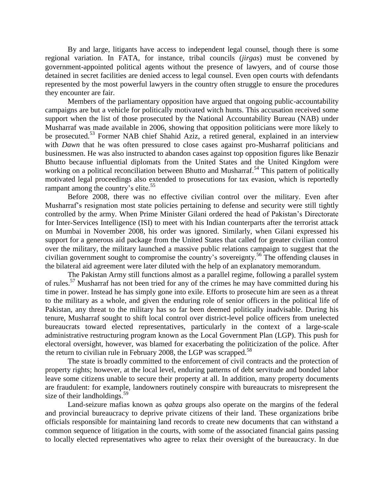By and large, litigants have access to independent legal counsel, though there is some regional variation. In FATA, for instance, tribal councils (*jirgas*) must be convened by government-appointed political agents without the presence of lawyers, and of course those detained in secret facilities are denied access to legal counsel. Even open courts with defendants represented by the most powerful lawyers in the country often struggle to ensure the procedures they encounter are fair.

Members of the parliamentary opposition have argued that ongoing public-accountability campaigns are but a vehicle for politically motivated witch hunts. This accusation received some support when the list of those prosecuted by the National Accountability Bureau (NAB) under Musharraf was made available in 2006, showing that opposition politicians were more likely to be prosecuted.<sup>53</sup> Former NAB chief Shahid Aziz, a retired general, explained in an interview with *Dawn* that he was often pressured to close cases against pro-Musharraf politicians and businessmen. He was also instructed to abandon cases against top opposition figures like Benazir Bhutto because influential diplomats from the United States and the United Kingdom were working on a political reconciliation between Bhutto and Musharraf.<sup>54</sup> This pattern of politically motivated legal proceedings also extended to prosecutions for tax evasion, which is reportedly rampant among the country's elite.<sup>55</sup>

Before 2008, there was no effective civilian control over the military. Even after Musharraf's resignation most state policies pertaining to defense and security were still tightly controlled by the army. When Prime Minister Gilani ordered the head of Pakistan's Directorate for Inter-Services Intelligence (ISI) to meet with his Indian counterparts after the terrorist attack on Mumbai in November 2008, his order was ignored. Similarly, when Gilani expressed his support for a generous aid package from the United States that called for greater civilian control over the military, the military launched a massive public relations campaign to suggest that the civilian government sought to compromise the country's sovereignty.<sup>56</sup> The offending clauses in the bilateral aid agreement were later diluted with the help of an explanatory memorandum.

The Pakistan Army still functions almost as a parallel regime, following a parallel system of rules.<sup>57</sup> Musharraf has not been tried for any of the crimes he may have committed during his time in power. Instead he has simply gone into exile. Efforts to prosecute him are seen as a threat to the military as a whole, and given the enduring role of senior officers in the political life of Pakistan, any threat to the military has so far been deemed politically inadvisable. During his tenure, Musharraf sought to shift local control over district-level police officers from unelected bureaucrats toward elected representatives, particularly in the context of a large-scale administrative restructuring program known as the Local Government Plan (LGP). This push for electoral oversight, however, was blamed for exacerbating the politicization of the police. After the return to civilian rule in February 2008, the LGP was scrapped.<sup>58</sup>

The state is broadly committed to the enforcement of civil contracts and the protection of property rights; however, at the local level, enduring patterns of debt servitude and bonded labor leave some citizens unable to secure their property at all. In addition, many property documents are fraudulent: for example, landowners routinely conspire with bureaucrats to misrepresent the size of their landholdings.<sup>59</sup>

Land-seizure mafias known as *qabza* groups also operate on the margins of the federal and provincial bureaucracy to deprive private citizens of their land. These organizations bribe officials responsible for maintaining land records to create new documents that can withstand a common sequence of litigation in the courts, with some of the associated financial gains passing to locally elected representatives who agree to relax their oversight of the bureaucracy. In due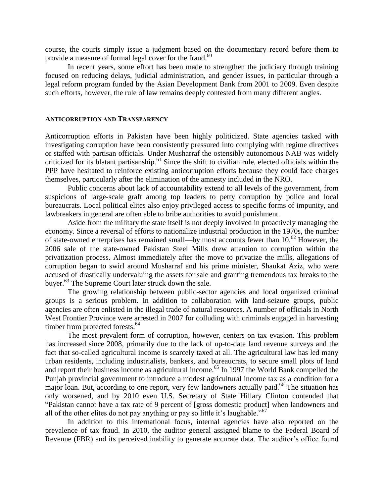course, the courts simply issue a judgment based on the documentary record before them to provide a measure of formal legal cover for the fraud.<sup>60</sup>

In recent years, some effort has been made to strengthen the judiciary through training focused on reducing delays, judicial administration, and gender issues, in particular through a legal reform program funded by the Asian Development Bank from 2001 to 2009. Even despite such efforts, however, the rule of law remains deeply contested from many different angles.

#### **ANTICORRUPTION AND TRANSPARENCY**

Anticorruption efforts in Pakistan have been highly politicized. State agencies tasked with investigating corruption have been consistently pressured into complying with regime directives or staffed with partisan officials. Under Musharraf the ostensibly autonomous NAB was widely criticized for its blatant partisanship.<sup>61</sup> Since the shift to civilian rule, elected officials within the PPP have hesitated to reinforce existing anticorruption efforts because they could face charges themselves, particularly after the elimination of the amnesty included in the NRO.

Public concerns about lack of accountability extend to all levels of the government, from suspicions of large-scale graft among top leaders to petty corruption by police and local bureaucrats. Local political elites also enjoy privileged access to specific forms of impunity, and lawbreakers in general are often able to bribe authorities to avoid punishment.

Aside from the military the state itself is not deeply involved in proactively managing the economy. Since a reversal of efforts to nationalize industrial production in the 1970s, the number of state-owned enterprises has remained small—by most accounts fewer than  $10^{62}$  However, the 2006 sale of the state-owned Pakistan Steel Mills drew attention to corruption within the privatization process. Almost immediately after the move to privatize the mills, allegations of corruption began to swirl around Musharraf and his prime minister, Shaukat Aziz, who were accused of drastically undervaluing the assets for sale and granting tremendous tax breaks to the buyer.<sup>63</sup> The Supreme Court later struck down the sale.

The growing relationship between public-sector agencies and local organized criminal groups is a serious problem. In addition to collaboration with land-seizure groups, public agencies are often enlisted in the illegal trade of natural resources. A number of officials in North West Frontier Province were arrested in 2007 for colluding with criminals engaged in harvesting timber from protected forests.<sup>64</sup>

The most prevalent form of corruption, however, centers on tax evasion. This problem has increased since 2008, primarily due to the lack of up-to-date land revenue surveys and the fact that so-called agricultural income is scarcely taxed at all. The agricultural law has led many urban residents, including industrialists, bankers, and bureaucrats, to secure small plots of land and report their business income as agricultural income. <sup>65</sup> In 1997 the World Bank compelled the Punjab provincial government to introduce a modest agricultural income tax as a condition for a major loan. But, according to one report, very few landowners actually paid.<sup>66</sup> The situation has only worsened, and by 2010 even U.S. Secretary of State Hillary Clinton contended that "Pakistan cannot have a tax rate of 9 percent of [gross domestic product] when landowners and all of the other elites do not pay anything or pay so little it's laughable."<sup>67</sup>

In addition to this international focus, internal agencies have also reported on the prevalence of tax fraud. In 2010, the auditor general assigned blame to the Federal Board of Revenue (FBR) and its perceived inability to generate accurate data. The auditor's office found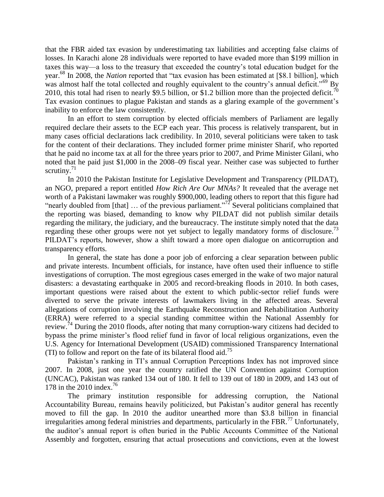that the FBR aided tax evasion by underestimating tax liabilities and accepting false claims of losses. In Karachi alone 28 individuals were reported to have evaded more than \$199 million in taxes this way—a loss to the treasury that exceeded the country's total education budget for the year.<sup>68</sup> In 2008, the *Nation* reported that "tax evasion has been estimated at [\$8.1 billion], which was almost half the total collected and roughly equivalent to the country's annual deficit."<sup>69</sup> By 2010, this total had risen to nearly \$9.5 billion, or \$1.2 billion more than the projected deficit.<sup>70</sup> Tax evasion continues to plague Pakistan and stands as a glaring example of the government's inability to enforce the law consistently.

In an effort to stem corruption by elected officials members of Parliament are legally required declare their assets to the ECP each year. This process is relatively transparent, but in many cases official declarations lack credibility. In 2010, several politicians were taken to task for the content of their declarations. They included former prime minister Sharif, who reported that he paid no income tax at all for the three years prior to 2007, and Prime Minister Gilani, who noted that he paid just \$1,000 in the 2008–09 fiscal year. Neither case was subjected to further scrutiny. $71$ 

In 2010 the Pakistan Institute for Legislative Development and Transparency (PILDAT), an NGO, prepared a report entitled *How Rich Are Our MNAs?* It revealed that the average net worth of a Pakistani lawmaker was roughly \$900,000, leading others to report that this figure had "nearly doubled from [that]  $\ldots$  of the previous parliament."<sup>72</sup> Several politicians complained that the reporting was biased, demanding to know why PILDAT did not publish similar details regarding the military, the judiciary, and the bureaucracy. The institute simply noted that the data regarding these other groups were not yet subject to legally mandatory forms of disclosure.<sup>73</sup> PILDAT's reports, however, show a shift toward a more open dialogue on anticorruption and transparency efforts.

In general, the state has done a poor job of enforcing a clear separation between public and private interests. Incumbent officials, for instance, have often used their influence to stifle investigations of corruption. The most egregious cases emerged in the wake of two major natural disasters: a devastating earthquake in 2005 and record-breaking floods in 2010. In both cases, important questions were raised about the extent to which public-sector relief funds were diverted to serve the private interests of lawmakers living in the affected areas. Several allegations of corruption involving the Earthquake Reconstruction and Rehabilitation Authority (ERRA) were referred to a special standing committee within the National Assembly for review.<sup>74</sup> During the 2010 floods, after noting that many corruption-wary citizens had decided to bypass the prime minister's flood relief fund in favor of local religious organizations, even the U.S. Agency for International Development (USAID) commissioned Transparency International (TI) to follow and report on the fate of its bilateral flood aid.<sup>75</sup>

Pakistan's ranking in TI's annual Corruption Perceptions Index has not improved since 2007. In 2008, just one year the country ratified the UN Convention against Corruption (UNCAC), Pakistan was ranked 134 out of 180. It fell to 139 out of 180 in 2009, and 143 out of 178 in the 2010 index.<sup>76</sup>

The primary institution responsible for addressing corruption, the National Accountability Bureau, remains heavily politicized, but Pakistan's auditor general has recently moved to fill the gap. In 2010 the auditor unearthed more than \$3.8 billion in financial irregularities among federal ministries and departments, particularly in the FBR.<sup>77</sup> Unfortunately, the auditor's annual report is often buried in the Public Accounts Committee of the National Assembly and forgotten, ensuring that actual prosecutions and convictions, even at the lowest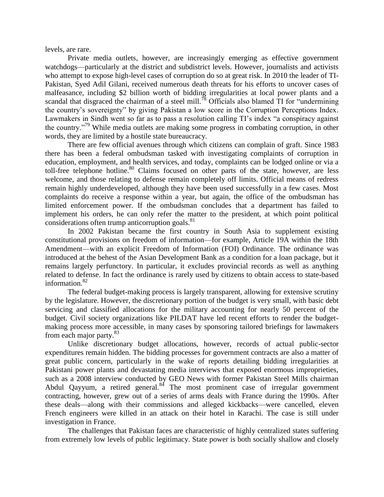levels, are rare.

Private media outlets, however, are increasingly emerging as effective government watchdogs—particularly at the district and subdistrict levels. However, journalists and activists who attempt to expose high-level cases of corruption do so at great risk. In 2010 the leader of TI-Pakistan, Syed Adil Gilani, received numerous death threats for his efforts to uncover cases of malfeasance, including \$2 billion worth of bidding irregularities at local power plants and a scandal that disgraced the chairman of a steel mill.<sup>78</sup> Officials also blamed TI for "undermining" the country's sovereignty" by giving Pakistan a low score in the Corruption Perceptions Index. Lawmakers in Sindh went so far as to pass a resolution calling TI's index "a conspiracy against the country.<sup>"79</sup> While media outlets are making some progress in combating corruption, in other words, they are limited by a hostile state bureaucracy.

There are few official avenues through which citizens can complain of graft. Since 1983 there has been a federal ombudsman tasked with investigating complaints of corruption in education, employment, and health services, and today, complaints can be lodged online or via a toll-free telephone hotline.<sup>80</sup> Claims focused on other parts of the state, however, are less welcome, and those relating to defense remain completely off limits. Official means of redress remain highly underdeveloped, although they have been used successfully in a few cases. Most complaints do receive a response within a year, but again, the office of the ombudsman has limited enforcement power. If the ombudsman concludes that a department has failed to implement his orders, he can only refer the matter to the president, at which point political considerations often trump anticorruption goals.<sup>81</sup>

In 2002 Pakistan became the first country in South Asia to supplement existing constitutional provisions on freedom of information—for example, Article 19A within the 18th Amendment—with an explicit Freedom of Information (FOI) Ordinance. The ordinance was introduced at the behest of the Asian Development Bank as a condition for a loan package, but it remains largely perfunctory. In particular, it excludes provincial records as well as anything related to defense. In fact the ordinance is rarely used by citizens to obtain access to state-based information.<sup>82</sup>

The federal budget-making process is largely transparent, allowing for extensive scrutiny by the legislature. However, the discretionary portion of the budget is very small, with basic debt servicing and classified allocations for the military accounting for nearly 50 percent of the budget. Civil society organizations like PILDAT have led recent efforts to render the budgetmaking process more accessible, in many cases by sponsoring tailored briefings for lawmakers from each major party.<sup>83</sup>

Unlike discretionary budget allocations, however, records of actual public-sector expenditures remain hidden. The bidding processes for government contracts are also a matter of great public concern, particularly in the wake of reports detailing bidding irregularities at Pakistani power plants and devastating media interviews that exposed enormous improprieties, such as a 2008 interview conducted by GEO News with former Pakistan Steel Mills chairman Abdul Qayyum, a retired general. $84$  The most prominent case of irregular government contracting, however, grew out of a series of arms deals with France during the 1990s. After these deals—along with their commissions and alleged kickbacks—were cancelled, eleven French engineers were killed in an attack on their hotel in Karachi. The case is still under investigation in France.

The challenges that Pakistan faces are characteristic of highly centralized states suffering from extremely low levels of public legitimacy. State power is both socially shallow and closely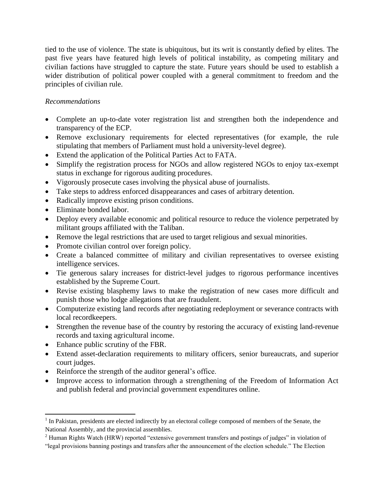tied to the use of violence. The state is ubiquitous, but its writ is constantly defied by elites. The past five years have featured high levels of political instability, as competing military and civilian factions have struggled to capture the state. Future years should be used to establish a wider distribution of political power coupled with a general commitment to freedom and the principles of civilian rule.

# *Recommendations*

- Complete an up-to-date voter registration list and strengthen both the independence and transparency of the ECP.
- Remove exclusionary requirements for elected representatives (for example, the rule stipulating that members of Parliament must hold a university-level degree).
- Extend the application of the Political Parties Act to FATA.
- Simplify the registration process for NGOs and allow registered NGOs to enjoy tax-exempt status in exchange for rigorous auditing procedures.
- Vigorously prosecute cases involving the physical abuse of journalists.
- Take steps to address enforced disappearances and cases of arbitrary detention.
- Radically improve existing prison conditions.
- Eliminate bonded labor.
- Deploy every available economic and political resource to reduce the violence perpetrated by militant groups affiliated with the Taliban.
- Remove the legal restrictions that are used to target religious and sexual minorities.
- Promote civilian control over foreign policy.
- Create a balanced committee of military and civilian representatives to oversee existing intelligence services.
- Tie generous salary increases for district-level judges to rigorous performance incentives established by the Supreme Court.
- Revise existing blasphemy laws to make the registration of new cases more difficult and punish those who lodge allegations that are fraudulent.
- Computerize existing land records after negotiating redeployment or severance contracts with local recordkeepers.
- Strengthen the revenue base of the country by restoring the accuracy of existing land-revenue records and taxing agricultural income.
- Enhance public scrutiny of the FBR.

 $\overline{\phantom{a}}$ 

- Extend asset-declaration requirements to military officers, senior bureaucrats, and superior court judges.
- Reinforce the strength of the auditor general's office.
- Improve access to information through a strengthening of the Freedom of Information Act and publish federal and provincial government expenditures online.

<sup>&</sup>lt;sup>1</sup> In Pakistan, presidents are elected indirectly by an electoral college composed of members of the Senate, the National Assembly, and the provincial assemblies.

<sup>&</sup>lt;sup>2</sup> Human Rights Watch (HRW) reported "extensive government transfers and postings of judges" in violation of

<sup>&</sup>quot;legal provisions banning postings and transfers after the announcement of the election schedule." The Election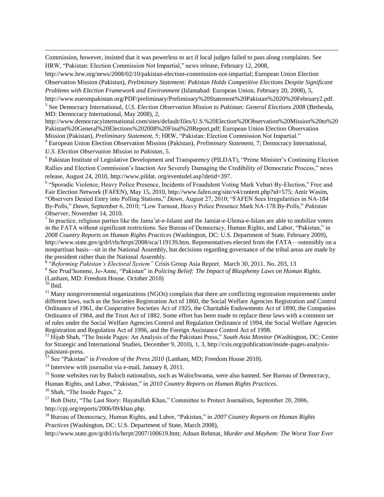Commission, however, insisted that it was powerless to act if local judges failed to pass along complaints. See HRW, "Pakistan: Election Commission Not Impartial," news release, February 12, 2008,

[http://www.hrw.org/news/2008/02/10/pakistan-election-commission-not-impartial;](http://www.hrw.org/news/2008/02/10/pakistan-election-commission-not-impartial) European Union Election Observation Mission (Pakistan), *Preliminary Statement: Pakistan Holds Competitive Elections Despite Significant Problems with Election Framework and Environment* (Islamabad: European Union, February 20, 2008), 5,

http://www.eueompakistan.org/PDF/preliminary/Preliminary%20Statement%20Pakistan%2020%20February2.pdf.

3 See Democracy International, *U.S. Election Observation Mission to Pakistan: General Elections 2008* (Bethesda, MD: Democracy International, May 2008), 2,

http://www.democracyinternational.com/sites/default/files/U.S.%20Election%20Observation%20Mission%20to%20 Pakistan%20General%20Elections%202008%20Final%20Report.pdf; European Union Election Observation Mission (Pakistan), *Preliminary Statement*, 5; HRW, "Pakistan: Election Commission Not Impartial."

<sup>4</sup> European Union Election Observation Mission (Pakistan), *Preliminary Statement*, 7; Democracy International, *U.S. Election Observation Mission to Pakistan*, 5.

<sup>5</sup> Pakistan Institute of Legislative Development and Transparency (PILDAT), "Prime Minister's Continuing Election Rallies and Election Commission's Inaction Are Severely Damaging the Credibility of Democratic Process," news release, August 24, 2010, [http://www.pildat.](http://www.pildat/) org/eventsdel.asp?detid=397.

<sup>6</sup> "Sporadic Violence, Heavy Police Presence, Incidents of Fraudulent Voting Mark Vehari By-Election," Free and Fair Election Network (FAFEN), May 15, 2010, http://www.fafen.org/site/v4/content.php?id=575; Amir Wasim, "Observers Denied Entry into Polling Stations," *Dawn*, August 27, 2010; "FAFEN Sees Irregularities in NA-184 By-Polls," *Dawn*, September 6, 2010; "Low Turnout, Heavy Police Presence Mark NA-178 By-Polls," *Pakistan Observer*, November 14, 2010.

 $<sup>7</sup>$  In practice, religious parties like the Jama'at-e-Islami and the Jamiat-e-Ulema-e-Islam are able to mobilize voters</sup> in the FATA without significant restrictions. See Bureau of Democracy, Human Rights, and Labor, "Pakistan," in *2008 Country Reports on Human Rights Practices* (Washington, DC: U.S. Department of State, February 2009), http://www.state.gov/g/drl/rls/hrrpt/2008/sca/119139.htm. Representatives elected from the FATA—ostensibly on a nonpartisan basis—sit in the National Assembly, but decisions regarding governance of the tribal areas are made by the president rather than the National Assembly.

8 "*Reforming Pakistan's Electoral System"* Crisis Group Asia Report. March 30, 2011. No. 203, 13

9 See Prud'homme, Jo-Anne, "Pakistan" in *Policing Belief: The Impact of Blasphemy Laws on Human Rights.*  (Lanham, MD: Freedom House. October 2010)

 $10$  Ibid.

 $\overline{\phantom{a}}$ 

 $11$  Many nongovernmental organizations (NGOs) complain that there are conflicting registration requirements under different laws, such as the Societies Registration Act of 1860, the Social Welfare Agencies Registration and Control Ordinance of 1961, the Cooperative Societies Act of 1925, the Charitable Endowments Act of 1890, the Companies Ordinance of 1984, and the Trust Act of 1882. Some effort has been made to replace these laws with a common set of rules under the Social Welfare Agencies Control and Regulation Ordinance of 1994, the Social Welfare Agencies Registration and Regulation Act of 1996, and the Foreign Assistance Control Act of 1998.

<sup>12</sup> Hijab Shah, "The Inside Pages: An Analysis of the Pakistani Press," *South Asia Monitor* (Washington, DC: Center for Strategic and International Studies, December 9, 2010), 1, 3, http://csis.org/publication/inside-pages-analysispakistani-press.

<sup>13</sup> See "Pakistan" in *Freedom of the Press 2010* (Lanham, MD; Freedom House 2010).

<sup>14</sup> Interview with journalist via e-mail, January 8, 2011.

<sup>15</sup> Some websites run by Baloch nationalists, such as Walochwama, were also banned. See Bureau of Democracy,

Human Rights, and Labor, "Pakistan," in *2010 Country Reports on Human Rights Practices*.

<sup>16</sup> Shah, "The Inside Pages," 2.

<sup>17</sup> Bob Dietz, "The Last Story: Hayatullah Khan," Committee to Protect Journalists, September 20, 2006, http://cpj.org/reports/2006/09/khan.php.

<sup>18</sup> Bureau of Democracy, Human Rights, and Labor, "Pakistan," in *2007 Country Reports on Human Rights Practices* (Washington, DC: U.S. Department of State, March 2008),

http://www.state.gov/g/drl/rls/hrrpt/2007/100619.htm; Adnan Rehmat, *Murder and Mayhem: The Worst Year Ever*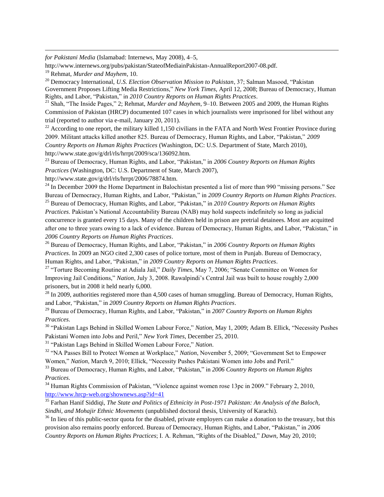*for Pakistani Media* (Islamabad: Internews, May 2008), 4–5,

http://www.internews.org/pubs/pakistan/StateofMediainPakistan-AnnualReport2007-08.pdf.

<sup>19</sup> Rehmat, *Murder and Mayhem*, 10.

 $\overline{\phantom{a}}$ 

<sup>20</sup> Democracy International, *U.S. Election Observation Mission to Pakistan*, 37; Salman Masood, "Pakistan Government Proposes Lifting Media Restrictions," *New York Times*, April 12, 2008; Bureau of Democracy, Human Rights, and Labor, "Pakistan," in *2010 Country Reports on Human Rights Practices*.

<sup>21</sup> Shah, "The Inside Pages," 2; Rehmat, *Murder and Mayhem*, 9–10. Between 2005 and 2009, the Human Rights Commission of Pakistan (HRCP) documented 107 cases in which journalists were imprisoned for libel without any trial (reported to author via e-mail, January 20, 2011).

<sup>22</sup> According to one report, the military killed 1,150 civilians in the FATA and North West Frontier Province during 2009. Militant attacks killed another 825. Bureau of Democracy, Human Rights, and Labor, "Pakistan," *2009 Country Reports on Human Rights Practices* (Washington, DC: U.S. Department of State, March 2010), http://www.state.gov/g/drl/rls/hrrpt/2009/sca/136092.htm.

<sup>23</sup> Bureau of Democracy, Human Rights, and Labor, "Pakistan," in *2006 Country Reports on Human Rights Practices* (Washington, DC: U.S. Department of State, March 2007),

http://www.state.gov/g/drl/rls/hrrpt/2006/78874.htm.

<sup>24</sup> In December 2009 the Home Department in Balochistan presented a list of more than 990 "missing persons." See Bureau of Democracy, Human Rights, and Labor, "Pakistan," in *2009 Country Reports on Human Rights Practices*.

<sup>25</sup> Bureau of Democracy, Human Rights, and Labor, "Pakistan," in *2010 Country Reports on Human Rights Practices*. Pakistan's National Accountability Bureau (NAB) may hold suspects indefinitely so long as judicial concurrence is granted every 15 days. Many of the children held in prison are pretrial detainees. Most are acquitted after one to three years owing to a lack of evidence. Bureau of Democracy, Human Rights, and Labor, "Pakistan," in *2006 Country Reports on Human Rights Practices*.

<sup>26</sup> Bureau of Democracy, Human Rights, and Labor, "Pakistan," in *2006 Country Reports on Human Rights Practices*. In 2009 an NGO cited 2,300 cases of police torture, most of them in Punjab. Bureau of Democracy, Human Rights, and Labor, "Pakistan," in *2009 Country Reports on Human Rights Practices*.

<sup>27</sup> "Torture Becoming Routine at Adiala Jail," *Daily Times*, May 7, 2006; "Senate Committee on Women for Improving Jail Conditions," *Nation*, July 3, 2008. Rawalpindi's Central Jail was built to house roughly 2,000 prisoners, but in 2008 it held nearly 6,000.

<sup>28</sup> In 2009, authorities registered more than 4,500 cases of human smuggling. Bureau of Democracy, Human Rights, and Labor, "Pakistan," in *2009 Country Reports on Human Rights Practices*.

<sup>29</sup> Bureau of Democracy, Human Rights, and Labor, "Pakistan," in *2007 Country Reports on Human Rights Practices*.

<sup>30</sup> "Pakistan Lags Behind in Skilled Women Labour Force," *Nation*, May 1, 2009; Adam B. Ellick, "Necessity Pushes Pakistani Women into Jobs and Peril," *New York Times*, December 25, 2010.

<sup>31</sup> "Pakistan Lags Behind in Skilled Women Labour Force," *Nation*.

<sup>32</sup> "NA Passes Bill to Protect Women at Workplace," *Nation*, November 5, 2009; "Government Set to Empower Women," *Nation*, March 9, 2010; Ellick, "Necessity Pushes Pakistani Women into Jobs and Peril."

<sup>33</sup> Bureau of Democracy, Human Rights, and Labor, "Pakistan," in *2006 Country Reports on Human Rights Practices*.

<sup>34</sup> Human Rights Commission of Pakistan, "Violence against women rose 13pc in 2009." February 2, 2010, <http://www.hrcp-web.org/shownews.asp?id=41>

<sup>35</sup> Farhan Hanif Siddiqi, *The State and Politics of Ethnicity in Post-1971 Pakistan: An Analysis of the Baloch, Sindhi, and Mohajir Ethnic Movements* (unpublished doctoral thesis, University of Karachi).

<sup>36</sup> In lieu of this public-sector quota for the disabled, private employers can make a donation to the treasury, but this provision also remains poorly enforced. Bureau of Democracy, Human Rights, and Labor, "Pakistan," in *2006 Country Reports on Human Rights Practices*; I. A. Rehman, "Rights of the Disabled," *Dawn*, May 20, 2010;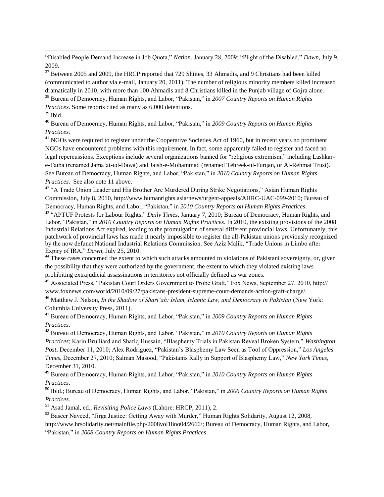"Disabled People Demand Increase in Job Quota," *Nation*, January 28, 2009; "Plight of the Disabled," *Dawn*, July 9, 2009.

 $37$  Between 2005 and 2009, the HRCP reported that 729 Shiites, 33 Ahmadis, and 9 Christians had been killed (communicated to author via e-mail, January 20, 2011). The number of religious minority members killed increased dramatically in 2010, with more than 100 Ahmadis and 8 Christians killed in the Punjab village of Gojra alone. <sup>38</sup> Bureau of Democracy, Human Rights, and Labor, "Pakistan," in *2007 Country Reports on Human Rights* 

*Practices*. Some reports cited as many as 6,000 detentions.

### $39$  Ibid.

 $\overline{\phantom{a}}$ 

<sup>40</sup> Bureau of Democracy, Human Rights, and Labor, "Pakistan," in *2009 Country Reports on Human Rights Practices*.

<sup>41</sup> NGOs were required to register under the Cooperative Societies Act of 1960, but in recent years no prominent NGOs have encountered problems with this requirement. In fact, some apparently failed to register and faced no legal repercussions. Exceptions include several organizations banned for "religious extremism," including Lashkare-Taiba (renamed Jama'at-ud-Dawa) and Jaish-e-Mohammad (renamed Tehreek-ul-Furqan, or Al-Rehmat Trust). See Bureau of Democracy, Human Rights, and Labor, "Pakistan," in *2010 Country Reports on Human Rights Practices*. See also note 11 above.

<sup>42</sup> "A Trade Union Leader and His Brother Are Murdered During Strike Negotiations," Asian Human Rights Commission, July 8, 2010, http://www.humanrights.asia/news/urgent-appeals/AHRC-UAC-099-2010; Bureau of Democracy, Human Rights, and Labor, "Pakistan," in *2010 Country Reports on Human Rights Practices*.

<sup>43</sup> "APTUF Protests for Labour Rights," *Daily Times*, January 7, 2010; Bureau of Democracy, Human Rights, and Labor, "Pakistan," in *2010 Country Reports on Human Rights Practices*. In 2010, the existing provisions of the 2008 Industrial Relations Act expired, leading to the promulgation of several different provincial laws. Unfortunately, this patchwork of provincial laws has made it nearly impossible to register the all-Pakistan unions previously recognized by the now defunct National Industrial Relations Commission. See Aziz Malik, "Trade Unions in Limbo after Expiry of IRA," *Dawn*, July 25, 2010.

<sup>44</sup> These cases concerned the extent to which such attacks amounted to violations of Pakistani sovereignty, or, given the possibility that they were authorized by the government, the extent to which they violated existing laws prohibiting extrajudicial assassinations in territories not officially defined as war zones.

<sup>45</sup> Associated Press, "Pakistan Court Orders Government to Probe Graft," Fox News, September 27, 2010, http:// www.foxnews.com/world/2010/09/27/pakistans-president-supreme-court-demands-action-graft-charge/.

<sup>46</sup> Matthew J. Nelson, *In the Shadow of Shari'ah: Islam, Islamic Law, and Democracy in Pakistan (New York:* Columbia University Press, 2011).

<sup>47</sup> Bureau of Democracy, Human Rights, and Labor, "Pakistan," in *2009 Country Reports on Human Rights Practices*.

<sup>48</sup> Bureau of Democracy, Human Rights, and Labor, "Pakistan," in *2010 Country Reports on Human Rights Practices*; Karin Brulliard and Shafiq Hussain, "Blasphemy Trials in Pakistan Reveal Broken System," *Washington Post*, December 11, 2010; Alex Rodriguez, "Pakistan's Blasphemy Law Seen as Tool of Oppression," *Los Angeles Times*, December 27, 2010; Salman Masood, "Pakistanis Rally in Support of Blasphemy Law," *New York Times*, December 31, 2010.

<sup>49</sup> Bureau of Democracy, Human Rights, and Labor, "Pakistan," in *2010 Country Reports on Human Rights Practices*.

<sup>50</sup> Ibid.; Bureau of Democracy, Human Rights, and Labor, "Pakistan," in *2006 Country Reports on Human Rights Practices*.

<sup>51</sup> Asad Jamal, ed., *Revisiting Police Laws* (Lahore: HRCP, 2011), 2.

<sup>52</sup> Baseer Naveed, "Jirga Justice: Getting Away with Murder," Human Rights Solidarity, August 12, 2008, [http://www.hrsolidarity.net/mainfile.php/2008vol18no04/2666/;](http://www.hrsolidarity.net/mainfile.php/2008vol18no04/2666/) Bureau of Democracy, Human Rights, and Labor, "Pakistan," in *2008 Country Reports on Human Rights Practices*.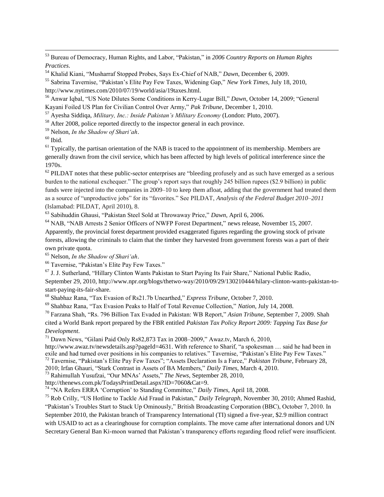<sup>53</sup> Bureau of Democracy, Human Rights, and Labor, "Pakistan," in *2006 Country Reports on Human Rights Practices*.

<sup>54</sup> Khalid Kiani, "Musharraf Stopped Probes, Says Ex-Chief of NAB," *Dawn*, December 6, 2009.

<sup>55</sup> Sabrina Tavernise, "Pakistan's Elite Pay Few Taxes, Widening Gap," *New York Times*, July 18, 2010, http://www.nytimes.com/2010/07/19/world/asia/19taxes.html.

<sup>56</sup> Anwar Iqbal, "US Note Dilutes Some Conditions in Kerry-Lugar Bill," *Dawn*, October 14, 2009; "General Kayani Foiled US Plan for Civilian Control Over Army," *Pak Tribune*, December 1, 2010.

<sup>57</sup> Ayesha Siddiqa, *Military, Inc.: Inside Pakistan's Military Economy* (London: Pluto, 2007).

<sup>58</sup> After 2008, police reported directly to the inspector general in each province.

<sup>59</sup> Nelson, *In the Shadow of Shari'ah*.

 $^{60}$  Ibid.

 $\overline{\phantom{a}}$ 

 $<sup>61</sup>$  Typically, the partisan orientation of the NAB is traced to the appointment of its membership. Members are</sup> generally drawn from the civil service, which has been affected by high levels of political interference since the 1970s.

 $62$  PILDAT notes that these public-sector enterprises are "bleeding profusely and as such have emerged as a serious burden to the national exchequer." The group's report says that roughly 245 billion rupees (\$2.9 billion) in public funds were injected into the companies in 2009–10 to keep them afloat, adding that the government had treated them as a source of "unproductive jobs" for its "favorites." See PILDAT, *Analysis of the Federal Budget 2010–2011* (Islamabad: PILDAT, April 2010), 8.

<sup>63</sup> Sabihuddin Ghausi, "Pakistan Steel Sold at Throwaway Price," *Dawn*, April 6, 2006.

<sup>64</sup> NAB, "NAB Arrests 2 Senior Officers of NWFP Forest Department," news release, November 15, 2007. Apparently, the provincial forest department provided exaggerated figures regarding the growing stock of private forests, allowing the criminals to claim that the timber they harvested from government forests was a part of their own private quota.

<sup>65</sup> Nelson, *In the Shadow of Shari'ah*.

<sup>66</sup> Tavernise, "Pakistan's Elite Pay Few Taxes."

<sup>67</sup> J. J. Sutherland, "Hillary Clinton Wants Pakistan to Start Paying Its Fair Share," National Public Radio, September 29, 2010, http://www.npr.org/blogs/thetwo-way/2010/09/29/130210444/hilary-clinton-wants-pakistan-tostart-paying-its-fair-share.

<sup>68</sup> Shabhaz Rana, "Tax Evasion of Rs21.7b Unearthed," *Express Tribune*, October 7, 2010.

<sup>69</sup> Shahbaz Rana, "Tax Evasion Peaks to Half of Total Revenue Collection," *Nation*, July 14, 2008.

<sup>70</sup> Farzana Shah, "Rs. 796 Billion Tax Evaded in Pakistan: WB Report," *Asian Tribune*, September 7, 2009. Shah cited a World Bank report prepared by the FBR entitled *Pakistan Tax Policy Report 2009: Tapping Tax Base for Development*.

 $71$  Dawn News, "Gilani Paid Only Rs82,873 Tax in 2008–2009," Awaz.tv, March 6, 2010,

[http://www.awaz.tv/newsdetails.asp?pageId=4631.](http://www.awaz.tv/newsdetails.asp?pageId=4631) With reference to Sharif, "a spokesman … said he had been in exile and had turned over positions in his companies to relatives." Tavernise, "Pakistan's Elite Pay Few Taxes."

<sup>72</sup> Tavernise, "Pakistan's Elite Pay Few Taxes"; "Assets Declaration Is a Farce," *Pakistan Tribune*, February 28,

2010; Irfan Ghauri, "Stark Contrast in Assets of BA Members," *Daily Times*, March 4, 2010. <sup>73</sup> Rahimullah Yusufzai, "Our MNAs' Assets," *The News*, September 28, 2010,

http://thenews.com.pk/TodaysPrintDetail.aspx?ID=7060&Cat=9.

<sup>74</sup> "NA Refers ERRA 'Corruption' to Standing Committee," *Daily Times*, April 18, 2008.

<sup>75</sup> Rob Crilly, "US Hotline to Tackle Aid Fraud in Pakistan," *Daily Telegraph*, November 30, 2010; Ahmed Rashid, "Pakistan's Troubles Start to Stack Up Ominously," British Broadcasting Corporation (BBC), October 7, 2010. In September 2010, the Pakistan branch of Transparency International (TI) signed a five-year, \$2.9 million contract with USAID to act as a clearinghouse for corruption complaints. The move came after international donors and UN Secretary General Ban Ki-moon warned that Pakistan's transparency efforts regarding flood relief were insufficient.